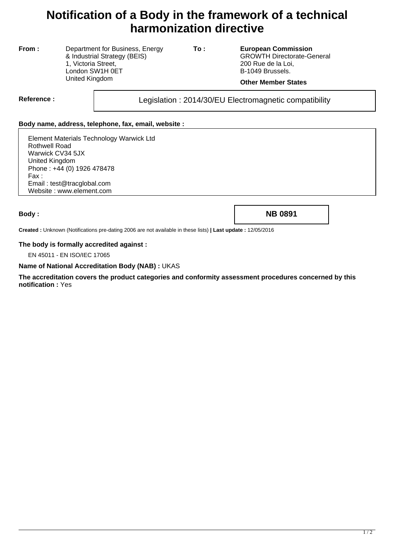# **Notification of a Body in the framework of a technical harmonization directive**

**From :** Department for Business, Energy & Industrial Strategy (BEIS) 1, Victoria Street, London SW1H 0ET United Kingdom

**To : European Commission** GROWTH Directorate-General 200 Rue de la Loi, B-1049 Brussels.

#### **Other Member States**

Reference : <br>
Legislation : 2014/30/EU Electromagnetic compatibility

### **Body name, address, telephone, fax, email, website :**

Element Materials Technology Warwick Ltd Rothwell Road Warwick CV34 5JX United Kingdom Phone : +44 (0) 1926 478478 Fax : Email : test@tracglobal.com Website : www.element.com

**Body : NB 0891**

**Created :** Unknown (Notifications pre-dating 2006 are not available in these lists) **| Last update :** 12/05/2016

#### **The body is formally accredited against :**

EN 45011 - EN ISO/IEC 17065

#### **Name of National Accreditation Body (NAB) :** UKAS

**The accreditation covers the product categories and conformity assessment procedures concerned by this notification :** Yes